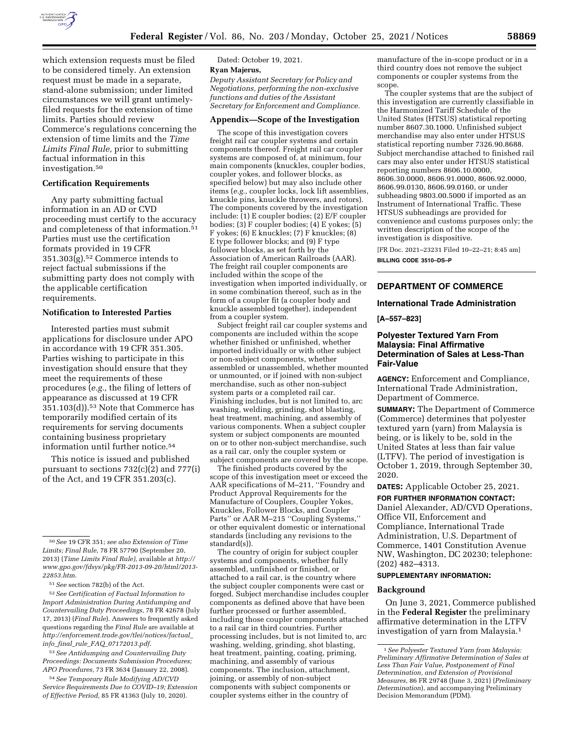

which extension requests must be filed to be considered timely. An extension request must be made in a separate, stand-alone submission; under limited circumstances we will grant untimelyfiled requests for the extension of time limits. Parties should review Commerce's regulations concerning the extension of time limits and the *Time Limits Final Rule,* prior to submitting factual information in this investigation.50

#### **Certification Requirements**

Any party submitting factual information in an AD or CVD proceeding must certify to the accuracy and completeness of that information.51 Parties must use the certification formats provided in 19 CFR 351.303(g).52 Commerce intends to reject factual submissions if the submitting party does not comply with the applicable certification requirements.

#### **Notification to Interested Parties**

Interested parties must submit applications for disclosure under APO in accordance with 19 CFR 351.305. Parties wishing to participate in this investigation should ensure that they meet the requirements of these procedures (*e.g.,* the filing of letters of appearance as discussed at 19 CFR 351.103(d)).53 Note that Commerce has temporarily modified certain of its requirements for serving documents containing business proprietary information until further notice.54

This notice is issued and published pursuant to sections 732(c)(2) and 777(i) of the Act, and 19 CFR 351.203(c).

53*See Antidumping and Countervailing Duty Proceedings: Documents Submission Procedures; APO Procedures,* 73 FR 3634 (January 22, 2008).

54*See Temporary Rule Modifying AD/CVD Service Requirements Due to COVID–19; Extension of Effective Period,* 85 FR 41363 (July 10, 2020).

### Dated: October 19, 2021. **Ryan Majerus,**

*Deputy Assistant Secretary for Policy and Negotiations, performing the non-exclusive functions and duties of the Assistant Secretary for Enforcement and Compliance.* 

# **Appendix—Scope of the Investigation**

The scope of this investigation covers freight rail car coupler systems and certain components thereof. Freight rail car coupler systems are composed of, at minimum, four main components (knuckles, coupler bodies, coupler yokes, and follower blocks, as specified below) but may also include other items (*e.g.,* coupler locks, lock lift assemblies, knuckle pins, knuckle throwers, and rotors). The components covered by the investigation include: (1) E coupler bodies; (2) E/F coupler bodies; (3) F coupler bodies; (4) E yokes;  $(5)$ F yokes; (6) E knuckles; (7) F knuckles; (8) E type follower blocks; and (9) F type follower blocks, as set forth by the Association of American Railroads (AAR). The freight rail coupler components are included within the scope of the investigation when imported individually, or in some combination thereof, such as in the form of a coupler fit (a coupler body and knuckle assembled together), independent from a coupler system.

Subject freight rail car coupler systems and components are included within the scope whether finished or unfinished, whether imported individually or with other subject or non-subject components, whether assembled or unassembled, whether mounted or unmounted, or if joined with non-subject merchandise, such as other non-subject system parts or a completed rail car. Finishing includes, but is not limited to, arc washing, welding, grinding, shot blasting, heat treatment, machining, and assembly of various components. When a subject coupler system or subject components are mounted on or to other non-subject merchandise, such as a rail car, only the coupler system or subject components are covered by the scope.

The finished products covered by the scope of this investigation meet or exceed the AAR specifications of M–211, ''Foundry and Product Approval Requirements for the Manufacture of Couplers, Coupler Yokes, Knuckles, Follower Blocks, and Coupler Parts'' or AAR M–215 ''Coupling Systems,'' or other equivalent domestic or international standards (including any revisions to the standard(s)).

The country of origin for subject coupler systems and components, whether fully assembled, unfinished or finished, or attached to a rail car, is the country where the subject coupler components were cast or forged. Subject merchandise includes coupler components as defined above that have been further processed or further assembled, including those coupler components attached to a rail car in third countries. Further processing includes, but is not limited to, arc washing, welding, grinding, shot blasting, heat treatment, painting, coating, priming, machining, and assembly of various components. The inclusion, attachment, joining, or assembly of non-subject components with subject components or coupler systems either in the country of

manufacture of the in-scope product or in a third country does not remove the subject components or coupler systems from the scope.

The coupler systems that are the subject of this investigation are currently classifiable in the Harmonized Tariff Schedule of the United States (HTSUS) statistical reporting number 8607.30.1000. Unfinished subject merchandise may also enter under HTSUS statistical reporting number 7326.90.8688. Subject merchandise attached to finished rail cars may also enter under HTSUS statistical reporting numbers 8606.10.0000, 8606.30.0000, 8606.91.0000, 8606.92.0000, 8606.99.0130, 8606.99.0160, or under subheading 9803.00.5000 if imported as an Instrument of International Traffic. These HTSUS subheadings are provided for convenience and customs purposes only; the written description of the scope of the investigation is dispositive.

[FR Doc. 2021–23231 Filed 10–22–21; 8:45 am] **BILLING CODE 3510–DS–P** 

# **DEPARTMENT OF COMMERCE**

### **International Trade Administration**

**[A–557–823]** 

### **Polyester Textured Yarn From Malaysia: Final Affirmative Determination of Sales at Less-Than Fair-Value**

**AGENCY:** Enforcement and Compliance, International Trade Administration, Department of Commerce.

**SUMMARY:** The Department of Commerce (Commerce) determines that polyester textured yarn (yarn) from Malaysia is being, or is likely to be, sold in the United States at less than fair value (LTFV). The period of investigation is October 1, 2019, through September 30, 2020.

**DATES:** Applicable October 25, 2021.

**FOR FURTHER INFORMATION CONTACT:**  Daniel Alexander, AD/CVD Operations, Office VII, Enforcement and Compliance, International Trade Administration, U.S. Department of Commerce, 1401 Constitution Avenue NW, Washington, DC 20230; telephone: (202) 482–4313.

### **SUPPLEMENTARY INFORMATION:**

#### **Background**

On June 3, 2021, Commerce published in the **Federal Register** the preliminary affirmative determination in the LTFV investigation of yarn from Malaysia.1

<sup>50</sup>*See* 19 CFR 351; *see also Extension of Time Limits; Final Rule,* 78 FR 57790 (September 20, 2013) (*Time Limits Final Rule),* available at *[http://](http://www.gpo.gov/fdsys/pkg/FR-2013-09-20/html/2013-22853.htm) [www.gpo.gov/fdsys/pkg/FR-2013-09-20/html/2013-](http://www.gpo.gov/fdsys/pkg/FR-2013-09-20/html/2013-22853.htm) [22853.htm](http://www.gpo.gov/fdsys/pkg/FR-2013-09-20/html/2013-22853.htm)*.

<sup>51</sup>*See* section 782(b) of the Act.

<sup>52</sup>*See Certification of Factual Information to Import Administration During Antidumping and Countervailing Duty Proceedings,* 78 FR 42678 (July 17, 2013) (*Final Rule*). Answers to frequently asked questions regarding the *Final Rule* are available at *[http://enforcement.trade.gov/tlei/notices/factual](http://enforcement.trade.gov/tlei/notices/factual_info_final_rule_FAQ_07172013.pdf)*\_ *info*\_*final*\_*rule*\_*FAQ*\_*[07172013.pdf](http://enforcement.trade.gov/tlei/notices/factual_info_final_rule_FAQ_07172013.pdf)*.

<sup>1</sup>*See Polyester Textured Yarn from Malaysia: Preliminary Affirmative Determination of Sales at Less Than Fair Value, Postponement of Final Determination, and Extension of Provisional Measures,* 86 FR 29748 (June 3, 2021) (*Preliminary Determination*), and accompanying Preliminary Decision Memorandum (PDM).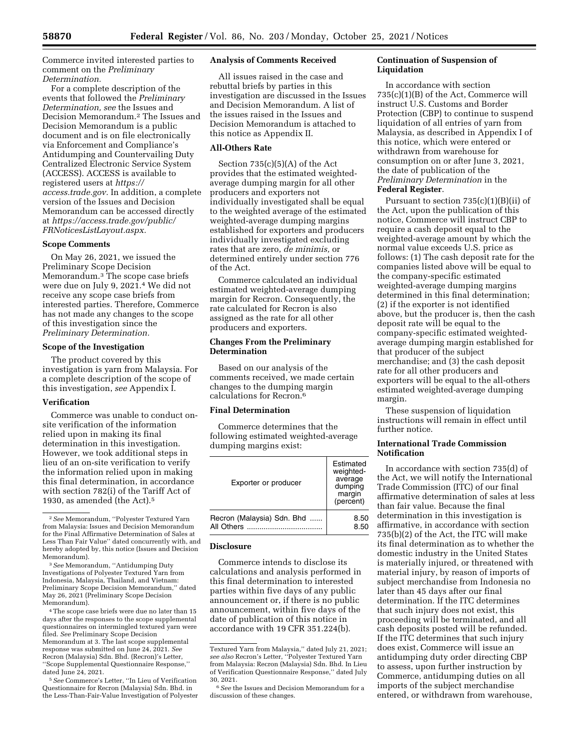Commerce invited interested parties to comment on the *Preliminary Determination.* 

For a complete description of the events that followed the *Preliminary Determination, see* the Issues and Decision Memorandum.2 The Issues and Decision Memorandum is a public document and is on file electronically via Enforcement and Compliance's Antidumping and Countervailing Duty Centralized Electronic Service System (ACCESS). ACCESS is available to registered users at *[https://](https://access.trade.gov) [access.trade.gov.](https://access.trade.gov)* In addition, a complete version of the Issues and Decision Memorandum can be accessed directly at *[https://access.trade.gov/public/](https://access.trade.gov/public/FRNoticesListLayout.aspx)  [FRNoticesListLayout.aspx.](https://access.trade.gov/public/FRNoticesListLayout.aspx)* 

### **Scope Comments**

On May 26, 2021, we issued the Preliminary Scope Decision Memorandum.3 The scope case briefs were due on July 9, 2021.4 We did not receive any scope case briefs from interested parties. Therefore, Commerce has not made any changes to the scope of this investigation since the *Preliminary Determination.* 

### **Scope of the Investigation**

The product covered by this investigation is yarn from Malaysia. For a complete description of the scope of this investigation, *see* Appendix I.

### **Verification**

Commerce was unable to conduct onsite verification of the information relied upon in making its final determination in this investigation. However, we took additional steps in lieu of an on-site verification to verify the information relied upon in making this final determination, in accordance with section 782(i) of the Tariff Act of 1930, as amended (the Act).5

3*See* Memorandum, ''Antidumping Duty Investigations of Polyester Textured Yarn from Indonesia, Malaysia, Thailand, and Vietnam: Preliminary Scope Decision Memorandum,'' dated May 26, 2021 (Preliminary Scope Decision Memorandum).

4The scope case briefs were due no later than 15 days after the responses to the scope supplemental questionnaires on intermingled textured yarn were filed. *See* Preliminary Scope Decision Memorandum at 3. The last scope supplemental response was submitted on June 24, 2021. *See*  Recron (Malaysia) Sdn. Bhd. (Recron)'s Letter, ''Scope Supplemental Questionnaire Response,'' dated June 24, 2021.

5*See* Commerce's Letter, ''In Lieu of Verification Questionnaire for Recron (Malaysia) Sdn. Bhd. in the Less-Than-Fair-Value Investigation of Polyester

### **Analysis of Comments Received**

All issues raised in the case and rebuttal briefs by parties in this investigation are discussed in the Issues and Decision Memorandum. A list of the issues raised in the Issues and Decision Memorandum is attached to this notice as Appendix II.

# **All-Others Rate**

Section  $735(c)(5)(A)$  of the Act provides that the estimated weightedaverage dumping margin for all other producers and exporters not individually investigated shall be equal to the weighted average of the estimated weighted-average dumping margins established for exporters and producers individually investigated excluding rates that are zero, *de minimis,* or determined entirely under section 776 of the Act.

Commerce calculated an individual estimated weighted-average dumping margin for Recron. Consequently, the rate calculated for Recron is also assigned as the rate for all other producers and exporters.

# **Changes From the Preliminary Determination**

Based on our analysis of the comments received, we made certain changes to the dumping margin calculations for Recron.6

## **Final Determination**

Commerce determines that the following estimated weighted-average dumping margins exist:

| Exporter or producer       | Estimated<br>weighted-<br>average<br>dumping<br>margin<br>(percent) |
|----------------------------|---------------------------------------------------------------------|
| Recron (Malaysia) Sdn. Bhd | 8.50                                                                |
| All Others                 | 8.50                                                                |

### **Disclosure**

Commerce intends to disclose its calculations and analysis performed in this final determination to interested parties within five days of any public announcement or, if there is no public announcement, within five days of the date of publication of this notice in accordance with 19 CFR 351.224(b).

### **Continuation of Suspension of Liquidation**

In accordance with section 735(c)(1)(B) of the Act, Commerce will instruct U.S. Customs and Border Protection (CBP) to continue to suspend liquidation of all entries of yarn from Malaysia, as described in Appendix I of this notice, which were entered or withdrawn from warehouse for consumption on or after June 3, 2021, the date of publication of the *Preliminary Determination* in the **Federal Register**.

Pursuant to section  $735(c)(1)(B)(ii)$  of the Act, upon the publication of this notice, Commerce will instruct CBP to require a cash deposit equal to the weighted-average amount by which the normal value exceeds U.S. price as follows: (1) The cash deposit rate for the companies listed above will be equal to the company-specific estimated weighted-average dumping margins determined in this final determination; (2) if the exporter is not identified above, but the producer is, then the cash deposit rate will be equal to the company-specific estimated weightedaverage dumping margin established for that producer of the subject merchandise; and (3) the cash deposit rate for all other producers and exporters will be equal to the all-others estimated weighted-average dumping margin.

These suspension of liquidation instructions will remain in effect until further notice.

### **International Trade Commission Notification**

In accordance with section 735(d) of the Act, we will notify the International Trade Commission (ITC) of our final affirmative determination of sales at less than fair value. Because the final determination in this investigation is affirmative, in accordance with section 735(b)(2) of the Act, the ITC will make its final determination as to whether the domestic industry in the United States is materially injured, or threatened with material injury, by reason of imports of subject merchandise from Indonesia no later than 45 days after our final determination. If the ITC determines that such injury does not exist, this proceeding will be terminated, and all cash deposits posted will be refunded. If the ITC determines that such injury does exist, Commerce will issue an antidumping duty order directing CBP to assess, upon further instruction by Commerce, antidumping duties on all imports of the subject merchandise entered, or withdrawn from warehouse,

<sup>2</sup>*See* Memorandum, ''Polyester Textured Yarn from Malaysia: Issues and Decision Memorandum for the Final Affirmative Determination of Sales at Less Than Fair Value'' dated concurrently with, and hereby adopted by, this notice (Issues and Decision Memorandum).

Textured Yarn from Malaysia,'' dated July 21, 2021; *see also* Recron's Letter, ''Polyester Textured Yarn from Malaysia: Recron (Malaysia) Sdn. Bhd. In Lieu of Verification Questionnaire Response,'' dated July 30, 2021.

<sup>6</sup>*See* the Issues and Decision Memorandum for a discussion of these changes.